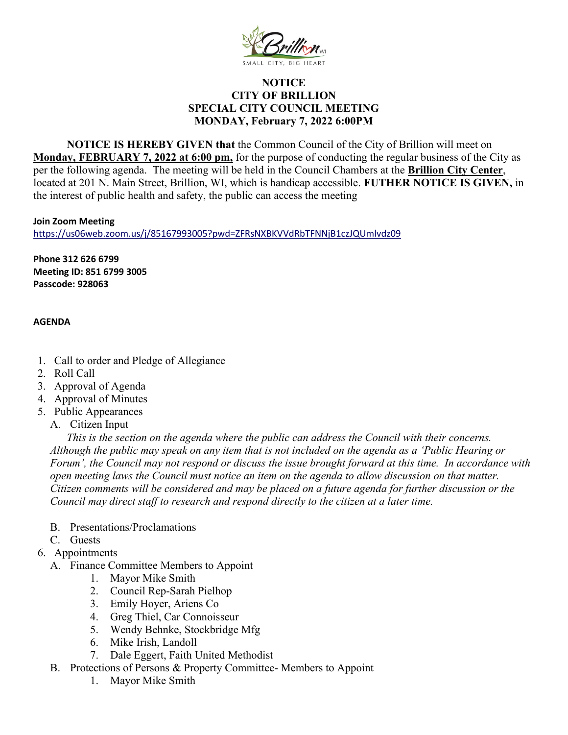

## **NOTICE CITY OF BRILLION SPECIAL CITY COUNCIL MEETING MONDAY, February 7, 2022 6:00PM**

**NOTICE IS HEREBY GIVEN that** the Common Council of the City of Brillion will meet on **Monday, FEBRUARY 7, 2022 at 6:00 pm,** for the purpose of conducting the regular business of the City as per the following agenda. The meeting will be held in the Council Chambers at the **Brillion City Center**, located at 201 N. Main Street, Brillion, WI, which is handicap accessible. **FUTHER NOTICE IS GIVEN,** in the interest of public health and safety, the public can access the meeting

**Join Zoom Meeting**

<https://us06web.zoom.us/j/85167993005?pwd=ZFRsNXBKVVdRbTFNNjB1czJQUmlvdz09>

**Phone 312 626 6799 Meeting ID: 851 6799 3005 Passcode: 928063** 

## **AGENDA**

- 1. Call to order and Pledge of Allegiance
- 2. Roll Call
- 3. Approval of Agenda
- 4. Approval of Minutes
- 5. Public Appearances
	- A. Citizen Input

*This is the section on the agenda where the public can address the Council with their concerns. Although the public may speak on any item that is not included on the agenda as a 'Public Hearing or Forum', the Council may not respond or discuss the issue brought forward at this time. In accordance with open meeting laws the Council must notice an item on the agenda to allow discussion on that matter. Citizen comments will be considered and may be placed on a future agenda for further discussion or the Council may direct staff to research and respond directly to the citizen at a later time.* 

- B. Presentations/Proclamations
- C. Guests
- 6. Appointments
	- A. Finance Committee Members to Appoint
		- 1. Mayor Mike Smith
		- 2. Council Rep-Sarah Pielhop
		- 3. Emily Hoyer, Ariens Co
		- 4. Greg Thiel, Car Connoisseur
		- 5. Wendy Behnke, Stockbridge Mfg
		- 6. Mike Irish, Landoll
		- 7. Dale Eggert, Faith United Methodist
	- B. Protections of Persons & Property Committee- Members to Appoint
		- 1. Mayor Mike Smith